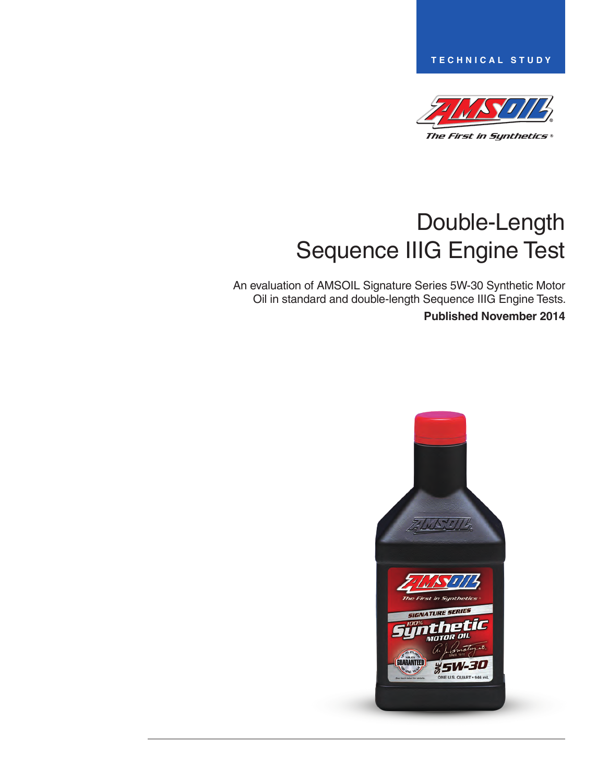**TECHNICAL STUDY**



# Double-Length Sequence IIIG Engine Test

An evaluation of AMSOIL Signature Series 5W-30 Synthetic Motor Oil in standard and double-length Sequence IIIG Engine Tests. **Published November 2014**

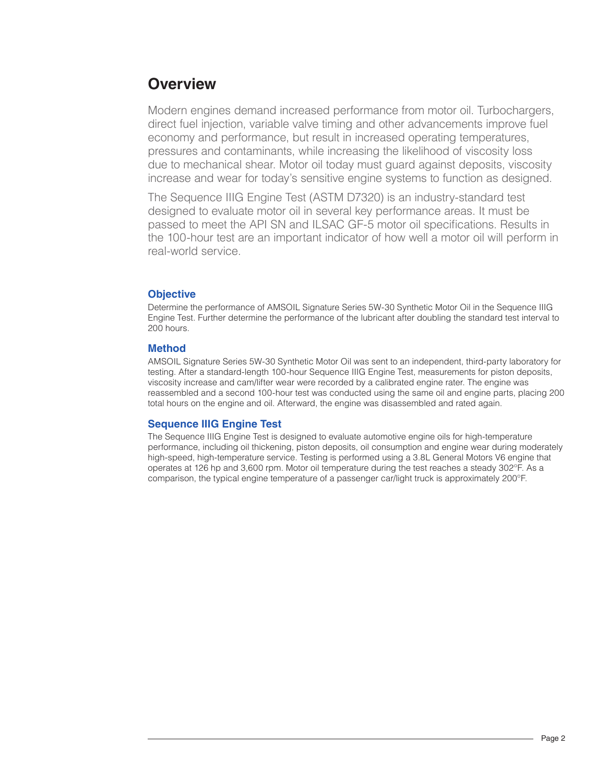# **Overview**

Modern engines demand increased performance from motor oil. Turbochargers, direct fuel injection, variable valve timing and other advancements improve fuel economy and performance, but result in increased operating temperatures, pressures and contaminants, while increasing the likelihood of viscosity loss due to mechanical shear. Motor oil today must guard against deposits, viscosity increase and wear for today's sensitive engine systems to function as designed.

The Sequence IIIG Engine Test (ASTM D7320) is an industry-standard test designed to evaluate motor oil in several key performance areas. It must be passed to meet the API SN and ILSAC GF-5 motor oil specifications. Results in the 100-hour test are an important indicator of how well a motor oil will perform in real-world service.

# **Objective**

Determine the performance of AMSOIL Signature Series 5W-30 Synthetic Motor Oil in the Sequence IIIG Engine Test. Further determine the performance of the lubricant after doubling the standard test interval to 200 hours.

## **Method**

AMSOIL Signature Series 5W-30 Synthetic Motor Oil was sent to an independent, third-party laboratory for testing. After a standard-length 100-hour Sequence IIIG Engine Test, measurements for piston deposits, viscosity increase and cam/lifter wear were recorded by a calibrated engine rater. The engine was reassembled and a second 100-hour test was conducted using the same oil and engine parts, placing 200 total hours on the engine and oil. Afterward, the engine was disassembled and rated again.

## **Sequence IIIG Engine Test**

The Sequence IIIG Engine Test is designed to evaluate automotive engine oils for high-temperature performance, including oil thickening, piston deposits, oil consumption and engine wear during moderately high-speed, high-temperature service. Testing is performed using a 3.8L General Motors V6 engine that operates at 126 hp and 3,600 rpm. Motor oil temperature during the test reaches a steady 302ºF. As a comparison, the typical engine temperature of a passenger car/light truck is approximately 200ºF.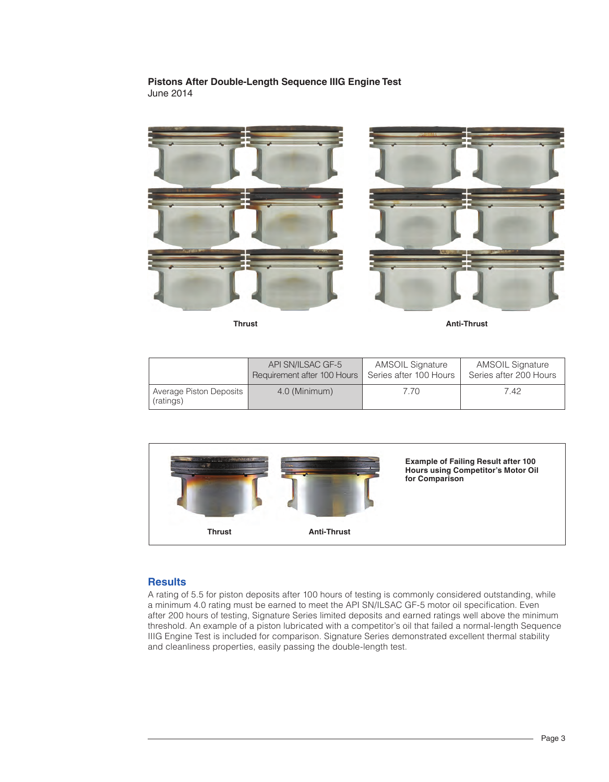#### **Pistons After Double-Length Sequence IIIG Engine Test**  June 2014



**Thrust Anti-Thrust**

|                                        | API SN/ILSAC GF-5           | <b>AMSOIL Signature</b> | <b>AMSOIL Signature</b> |
|----------------------------------------|-----------------------------|-------------------------|-------------------------|
|                                        | Requirement after 100 Hours | Series after 100 Hours  | Series after 200 Hours  |
| Average Piston Deposits  <br>(ratings) | 4.0 (Minimum)               | 7.70                    | 7.42                    |



#### **Results**

A rating of 5.5 for piston deposits after 100 hours of testing is commonly considered outstanding, while a minimum 4.0 rating must be earned to meet the API SN/ILSAC GF-5 motor oil specification. Even after 200 hours of testing, Signature Series limited deposits and earned ratings well above the minimum threshold. An example of a piston lubricated with a competitor's oil that failed a normal-length Sequence IIIG Engine Test is included for comparison. Signature Series demonstrated excellent thermal stability and cleanliness properties, easily passing the double-length test.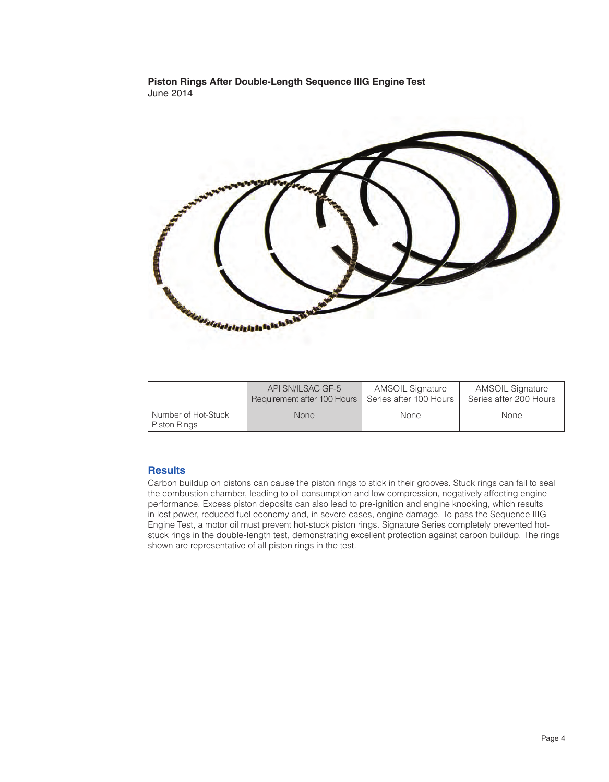#### **Piston Rings After Double-Length Sequence IIIG Engine Test**  June 2014



|                                     | API SN/ILSAC GF-5           | <b>AMSOIL Signature</b> | <b>AMSOIL Signature</b> |
|-------------------------------------|-----------------------------|-------------------------|-------------------------|
|                                     | Requirement after 100 Hours | Series after 100 Hours  | Series after 200 Hours  |
| Number of Hot-Stuck<br>Piston Rings | <b>None</b>                 | None                    | None                    |

## **Results**

Carbon buildup on pistons can cause the piston rings to stick in their grooves. Stuck rings can fail to seal the combustion chamber, leading to oil consumption and low compression, negatively affecting engine performance. Excess piston deposits can also lead to pre-ignition and engine knocking, which results in lost power, reduced fuel economy and, in severe cases, engine damage. To pass the Sequence IIIG Engine Test, a motor oil must prevent hot-stuck piston rings. Signature Series completely prevented hotstuck rings in the double-length test, demonstrating excellent protection against carbon buildup. The rings shown are representative of all piston rings in the test.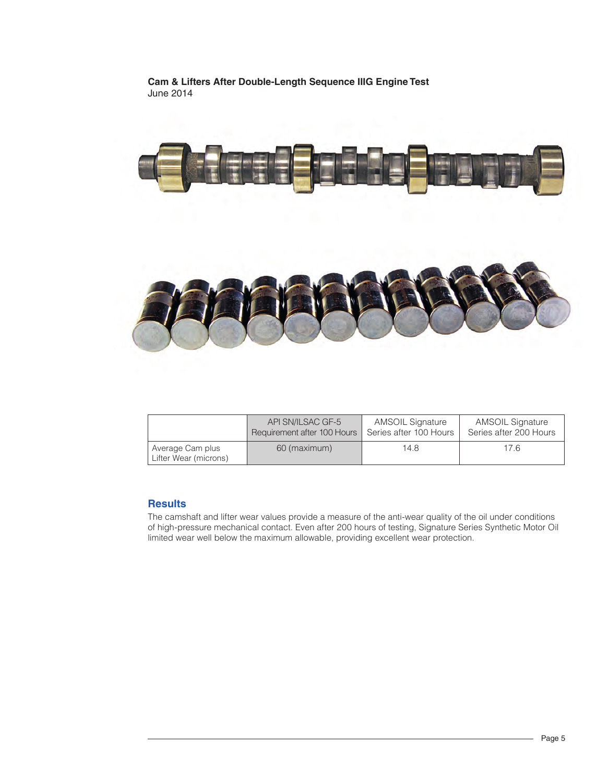**Cam & Lifters After Double-Length Sequence IIIG Engine Test**  June 2014



|                                           | API SN/ILSAC GF-5           | <b>AMSOIL Signature</b> | <b>AMSOIL Signature</b> |
|-------------------------------------------|-----------------------------|-------------------------|-------------------------|
|                                           | Requirement after 100 Hours | Series after 100 Hours  | Series after 200 Hours  |
| Average Cam plus<br>Lifter Wear (microns) | 60 (maximum)                | 14.8                    | 17.6                    |

#### **Results**

The camshaft and lifter wear values provide a measure of the anti-wear quality of the oil under conditions of high-pressure mechanical contact. Even after 200 hours of testing, Signature Series Synthetic Motor Oil limited wear well below the maximum allowable, providing excellent wear protection.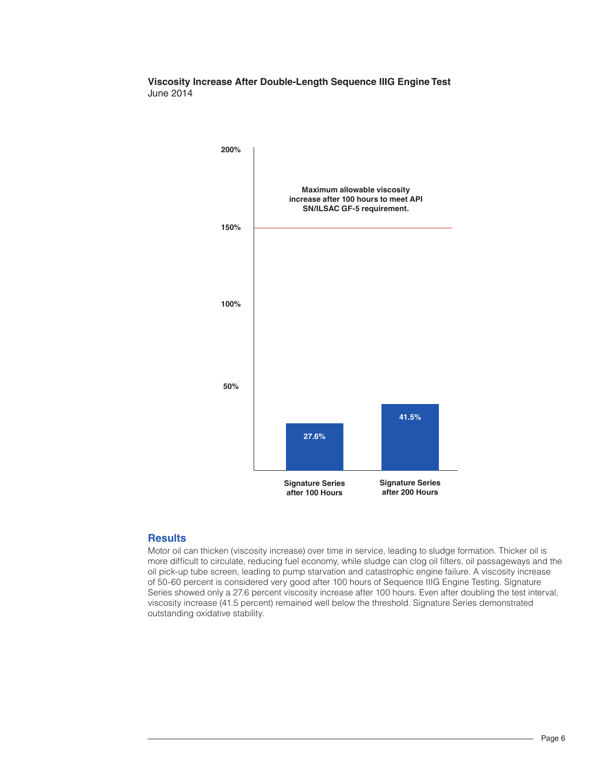#### **Viscosity Increase After Double-Length Sequence IIIG Engine Test**  June 2014



#### **Results**

Motor oil can thicken (viscosity increase) over time in service, leading to sludge formation. Thicker oil is more difficult to circulate, reducing fuel economy, while sludge can clog oil filters, oil passageways and the oil pick-up tube screen, leading to pump starvation and catastrophic engine failure. A viscosity increase of 50-60 percent is considered very good after 100 hours of Sequence IIIG Engine Testing. Signature Series showed only a 27.6 percent viscosity increase after 100 hours. Even after doubling the test interval, viscosity increase (41.5 percent) remained well below the threshold. Signature Series demonstrated outstanding oxidative stability.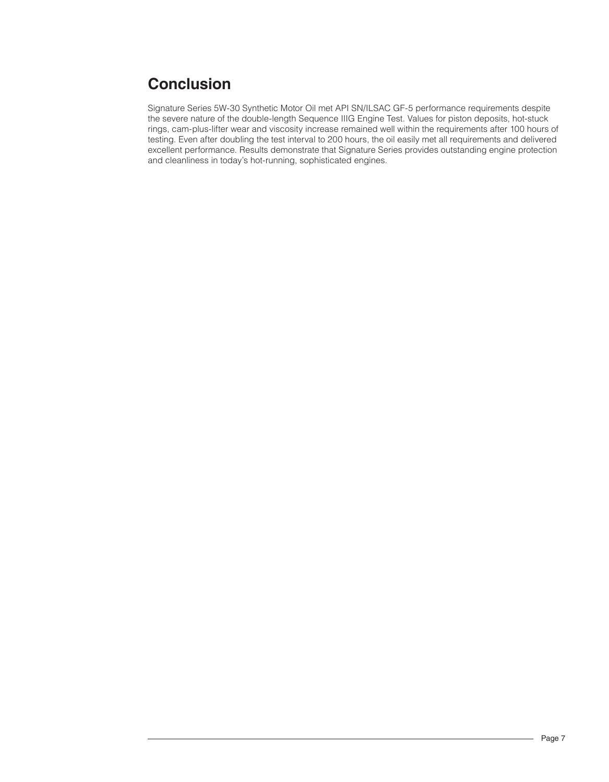# **Conclusion**

Signature Series 5W-30 Synthetic Motor Oil met API SN/ILSAC GF-5 performance requirements despite the severe nature of the double-length Sequence IIIG Engine Test. Values for piston deposits, hot-stuck rings, cam-plus-lifter wear and viscosity increase remained well within the requirements after 100 hours of testing. Even after doubling the test interval to 200 hours, the oil easily met all requirements and delivered excellent performance. Results demonstrate that Signature Series provides outstanding engine protection and cleanliness in today's hot-running, sophisticated engines.